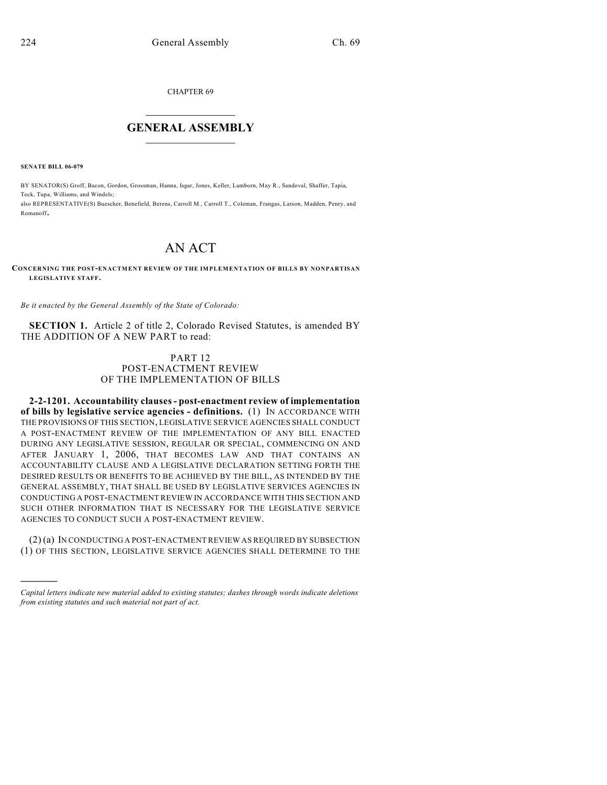CHAPTER 69

## $\mathcal{L}_\text{max}$  . The set of the set of the set of the set of the set of the set of the set of the set of the set of the set of the set of the set of the set of the set of the set of the set of the set of the set of the set **GENERAL ASSEMBLY**  $\frac{1}{\sqrt{2}}$

**SENATE BILL 06-079**

)))))

BY SENATOR(S) Groff, Bacon, Gordon, Grossman, Hanna, Isgar, Jones, Keller, Lamborn, May R., Sandoval, Shaffer, Tapia, Teck, Tupa, Williams, and Windels;

also REPRESENTATIVE(S) Buescher, Benefield, Berens, Carroll M., Carroll T., Coleman, Frangas, Larson, Madden, Penry, and Romanoff.

## AN ACT

## **CONCERNING THE POST-ENACTMENT REVIEW OF THE IMPLEMENTATION OF BILLS BY NONPARTISAN LEGISLATIVE STAFF.**

*Be it enacted by the General Assembly of the State of Colorado:*

**SECTION 1.** Article 2 of title 2, Colorado Revised Statutes, is amended BY THE ADDITION OF A NEW PART to read:

## PART 12 POST-ENACTMENT REVIEW OF THE IMPLEMENTATION OF BILLS

**2-2-1201. Accountability clauses - post-enactment review of implementation of bills by legislative service agencies - definitions.** (1) IN ACCORDANCE WITH THE PROVISIONS OF THIS SECTION, LEGISLATIVE SERVICE AGENCIES SHALL CONDUCT A POST-ENACTMENT REVIEW OF THE IMPLEMENTATION OF ANY BILL ENACTED DURING ANY LEGISLATIVE SESSION, REGULAR OR SPECIAL, COMMENCING ON AND AFTER JANUARY 1, 2006, THAT BECOMES LAW AND THAT CONTAINS AN ACCOUNTABILITY CLAUSE AND A LEGISLATIVE DECLARATION SETTING FORTH THE DESIRED RESULTS OR BENEFITS TO BE ACHIEVED BY THE BILL, AS INTENDED BY THE GENERAL ASSEMBLY, THAT SHALL BE USED BY LEGISLATIVE SERVICES AGENCIES IN CONDUCTING A POST-ENACTMENT REVIEW IN ACCORDANCE WITH THIS SECTION AND SUCH OTHER INFORMATION THAT IS NECESSARY FOR THE LEGISLATIVE SERVICE AGENCIES TO CONDUCT SUCH A POST-ENACTMENT REVIEW.

(2) (a) IN CONDUCTING A POST-ENACTMENT REVIEW AS REQUIRED BY SUBSECTION (1) OF THIS SECTION, LEGISLATIVE SERVICE AGENCIES SHALL DETERMINE TO THE

*Capital letters indicate new material added to existing statutes; dashes through words indicate deletions from existing statutes and such material not part of act.*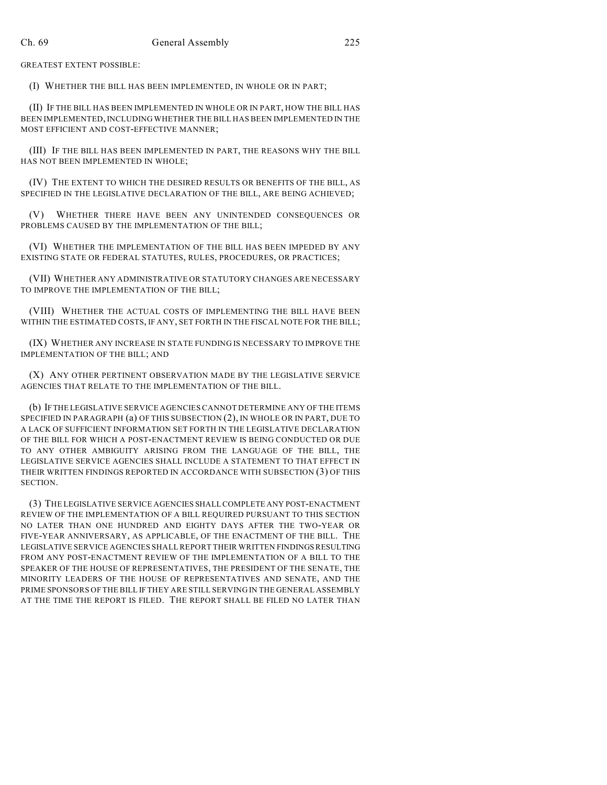GREATEST EXTENT POSSIBLE:

(I) WHETHER THE BILL HAS BEEN IMPLEMENTED, IN WHOLE OR IN PART;

(II) IF THE BILL HAS BEEN IMPLEMENTED IN WHOLE OR IN PART, HOW THE BILL HAS BEEN IMPLEMENTED, INCLUDING WHETHER THE BILL HAS BEEN IMPLEMENTED IN THE MOST EFFICIENT AND COST-EFFECTIVE MANNER;

(III) IF THE BILL HAS BEEN IMPLEMENTED IN PART, THE REASONS WHY THE BILL HAS NOT BEEN IMPLEMENTED IN WHOLE;

(IV) THE EXTENT TO WHICH THE DESIRED RESULTS OR BENEFITS OF THE BILL, AS SPECIFIED IN THE LEGISLATIVE DECLARATION OF THE BILL, ARE BEING ACHIEVED;

(V) WHETHER THERE HAVE BEEN ANY UNINTENDED CONSEQUENCES OR PROBLEMS CAUSED BY THE IMPLEMENTATION OF THE BILL;

(VI) WHETHER THE IMPLEMENTATION OF THE BILL HAS BEEN IMPEDED BY ANY EXISTING STATE OR FEDERAL STATUTES, RULES, PROCEDURES, OR PRACTICES;

(VII) WHETHER ANY ADMINISTRATIVE OR STATUTORY CHANGES ARE NECESSARY TO IMPROVE THE IMPLEMENTATION OF THE BILL;

(VIII) WHETHER THE ACTUAL COSTS OF IMPLEMENTING THE BILL HAVE BEEN WITHIN THE ESTIMATED COSTS, IF ANY, SET FORTH IN THE FISCAL NOTE FOR THE BILL;

(IX) WHETHER ANY INCREASE IN STATE FUNDING IS NECESSARY TO IMPROVE THE IMPLEMENTATION OF THE BILL; AND

(X) ANY OTHER PERTINENT OBSERVATION MADE BY THE LEGISLATIVE SERVICE AGENCIES THAT RELATE TO THE IMPLEMENTATION OF THE BILL.

(b) IF THE LEGISLATIVE SERVICE AGENCIES CANNOT DETERMINE ANY OF THE ITEMS SPECIFIED IN PARAGRAPH (a) OF THIS SUBSECTION (2), IN WHOLE OR IN PART, DUE TO A LACK OF SUFFICIENT INFORMATION SET FORTH IN THE LEGISLATIVE DECLARATION OF THE BILL FOR WHICH A POST-ENACTMENT REVIEW IS BEING CONDUCTED OR DUE TO ANY OTHER AMBIGUITY ARISING FROM THE LANGUAGE OF THE BILL, THE LEGISLATIVE SERVICE AGENCIES SHALL INCLUDE A STATEMENT TO THAT EFFECT IN THEIR WRITTEN FINDINGS REPORTED IN ACCORDANCE WITH SUBSECTION (3) OF THIS SECTION.

(3) THE LEGISLATIVE SERVICE AGENCIES SHALL COMPLETE ANY POST-ENACTMENT REVIEW OF THE IMPLEMENTATION OF A BILL REQUIRED PURSUANT TO THIS SECTION NO LATER THAN ONE HUNDRED AND EIGHTY DAYS AFTER THE TWO-YEAR OR FIVE-YEAR ANNIVERSARY, AS APPLICABLE, OF THE ENACTMENT OF THE BILL. THE LEGISLATIVE SERVICE AGENCIES SHALL REPORT THEIR WRITTEN FINDINGS RESULTING FROM ANY POST-ENACTMENT REVIEW OF THE IMPLEMENTATION OF A BILL TO THE SPEAKER OF THE HOUSE OF REPRESENTATIVES, THE PRESIDENT OF THE SENATE, THE MINORITY LEADERS OF THE HOUSE OF REPRESENTATIVES AND SENATE, AND THE PRIME SPONSORS OF THE BILL IF THEY ARE STILL SERVING IN THE GENERAL ASSEMBLY AT THE TIME THE REPORT IS FILED. THE REPORT SHALL BE FILED NO LATER THAN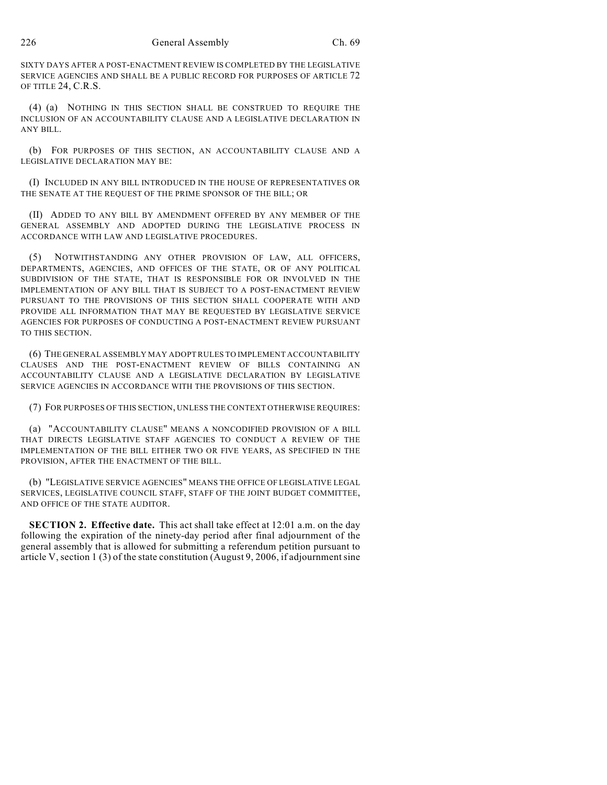SIXTY DAYS AFTER A POST-ENACTMENT REVIEW IS COMPLETED BY THE LEGISLATIVE SERVICE AGENCIES AND SHALL BE A PUBLIC RECORD FOR PURPOSES OF ARTICLE 72 OF TITLE 24, C.R.S.

(4) (a) NOTHING IN THIS SECTION SHALL BE CONSTRUED TO REQUIRE THE INCLUSION OF AN ACCOUNTABILITY CLAUSE AND A LEGISLATIVE DECLARATION IN **ANY RILL** 

(b) FOR PURPOSES OF THIS SECTION, AN ACCOUNTABILITY CLAUSE AND A LEGISLATIVE DECLARATION MAY BE:

(I) INCLUDED IN ANY BILL INTRODUCED IN THE HOUSE OF REPRESENTATIVES OR THE SENATE AT THE REQUEST OF THE PRIME SPONSOR OF THE BILL; OR

(II) ADDED TO ANY BILL BY AMENDMENT OFFERED BY ANY MEMBER OF THE GENERAL ASSEMBLY AND ADOPTED DURING THE LEGISLATIVE PROCESS IN ACCORDANCE WITH LAW AND LEGISLATIVE PROCEDURES.

(5) NOTWITHSTANDING ANY OTHER PROVISION OF LAW, ALL OFFICERS, DEPARTMENTS, AGENCIES, AND OFFICES OF THE STATE, OR OF ANY POLITICAL SUBDIVISION OF THE STATE, THAT IS RESPONSIBLE FOR OR INVOLVED IN THE IMPLEMENTATION OF ANY BILL THAT IS SUBJECT TO A POST-ENACTMENT REVIEW PURSUANT TO THE PROVISIONS OF THIS SECTION SHALL COOPERATE WITH AND PROVIDE ALL INFORMATION THAT MAY BE REQUESTED BY LEGISLATIVE SERVICE AGENCIES FOR PURPOSES OF CONDUCTING A POST-ENACTMENT REVIEW PURSUANT TO THIS SECTION.

(6) THE GENERAL ASSEMBLY MAY ADOPT RULES TO IMPLEMENT ACCOUNTABILITY CLAUSES AND THE POST-ENACTMENT REVIEW OF BILLS CONTAINING AN ACCOUNTABILITY CLAUSE AND A LEGISLATIVE DECLARATION BY LEGISLATIVE SERVICE AGENCIES IN ACCORDANCE WITH THE PROVISIONS OF THIS SECTION.

(7) FOR PURPOSES OF THIS SECTION, UNLESS THE CONTEXT OTHERWISE REQUIRES:

(a) "ACCOUNTABILITY CLAUSE" MEANS A NONCODIFIED PROVISION OF A BILL THAT DIRECTS LEGISLATIVE STAFF AGENCIES TO CONDUCT A REVIEW OF THE IMPLEMENTATION OF THE BILL EITHER TWO OR FIVE YEARS, AS SPECIFIED IN THE PROVISION, AFTER THE ENACTMENT OF THE BILL.

(b) "LEGISLATIVE SERVICE AGENCIES" MEANS THE OFFICE OF LEGISLATIVE LEGAL SERVICES, LEGISLATIVE COUNCIL STAFF, STAFF OF THE JOINT BUDGET COMMITTEE, AND OFFICE OF THE STATE AUDITOR.

**SECTION 2. Effective date.** This act shall take effect at 12:01 a.m. on the day following the expiration of the ninety-day period after final adjournment of the general assembly that is allowed for submitting a referendum petition pursuant to article V, section 1 (3) of the state constitution (August 9, 2006, if adjournment sine